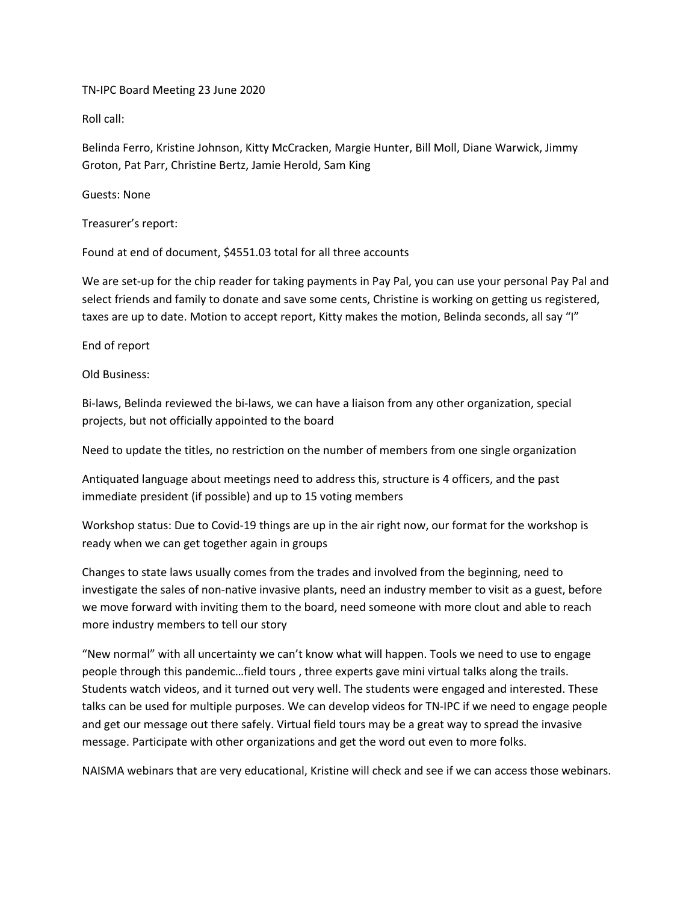TN-IPC Board Meeting 23 June 2020

Roll call:

Belinda Ferro, Kristine Johnson, Kitty McCracken, Margie Hunter, Bill Moll, Diane Warwick, Jimmy Groton, Pat Parr, Christine Bertz, Jamie Herold, Sam King

Guests: None

Treasurer's report:

Found at end of document, \$4551.03 total for all three accounts

We are set-up for the chip reader for taking payments in Pay Pal, you can use your personal Pay Pal and select friends and family to donate and save some cents, Christine is working on getting us registered, taxes are up to date. Motion to accept report, Kitty makes the motion, Belinda seconds, all say "I"

End of report

Old Business:

Bi-laws, Belinda reviewed the bi-laws, we can have a liaison from any other organization, special projects, but not officially appointed to the board

Need to update the titles, no restriction on the number of members from one single organization

Antiquated language about meetings need to address this, structure is 4 officers, and the past immediate president (if possible) and up to 15 voting members

Workshop status: Due to Covid-19 things are up in the air right now, our format for the workshop is ready when we can get together again in groups

Changes to state laws usually comes from the trades and involved from the beginning, need to investigate the sales of non-native invasive plants, need an industry member to visit as a guest, before we move forward with inviting them to the board, need someone with more clout and able to reach more industry members to tell our story

"New normal" with all uncertainty we can't know what will happen. Tools we need to use to engage people through this pandemic…field tours , three experts gave mini virtual talks along the trails. Students watch videos, and it turned out very well. The students were engaged and interested. These talks can be used for multiple purposes. We can develop videos for TN-IPC if we need to engage people and get our message out there safely. Virtual field tours may be a great way to spread the invasive message. Participate with other organizations and get the word out even to more folks.

NAISMA webinars that are very educational, Kristine will check and see if we can access those webinars.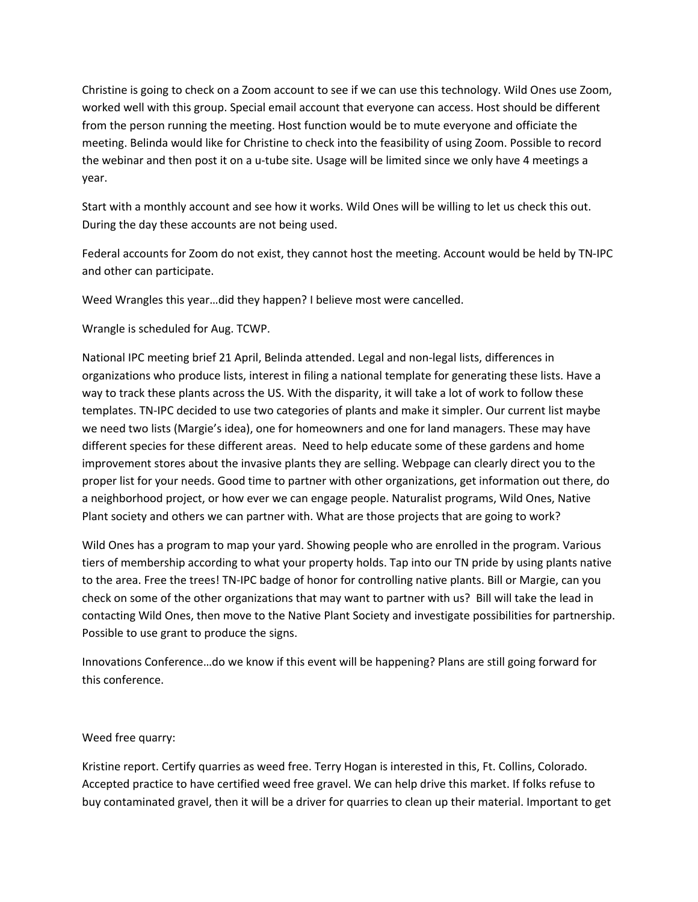Christine is going to check on a Zoom account to see if we can use this technology. Wild Ones use Zoom, worked well with this group. Special email account that everyone can access. Host should be different from the person running the meeting. Host function would be to mute everyone and officiate the meeting. Belinda would like for Christine to check into the feasibility of using Zoom. Possible to record the webinar and then post it on a u-tube site. Usage will be limited since we only have 4 meetings a year.

Start with a monthly account and see how it works. Wild Ones will be willing to let us check this out. During the day these accounts are not being used.

Federal accounts for Zoom do not exist, they cannot host the meeting. Account would be held by TN-IPC and other can participate.

Weed Wrangles this year…did they happen? I believe most were cancelled.

Wrangle is scheduled for Aug. TCWP.

National IPC meeting brief 21 April, Belinda attended. Legal and non-legal lists, differences in organizations who produce lists, interest in filing a national template for generating these lists. Have a way to track these plants across the US. With the disparity, it will take a lot of work to follow these templates. TN-IPC decided to use two categories of plants and make it simpler. Our current list maybe we need two lists (Margie's idea), one for homeowners and one for land managers. These may have different species for these different areas. Need to help educate some of these gardens and home improvement stores about the invasive plants they are selling. Webpage can clearly direct you to the proper list for your needs. Good time to partner with other organizations, get information out there, do a neighborhood project, or how ever we can engage people. Naturalist programs, Wild Ones, Native Plant society and others we can partner with. What are those projects that are going to work?

Wild Ones has a program to map your yard. Showing people who are enrolled in the program. Various tiers of membership according to what your property holds. Tap into our TN pride by using plants native to the area. Free the trees! TN-IPC badge of honor for controlling native plants. Bill or Margie, can you check on some of the other organizations that may want to partner with us? Bill will take the lead in contacting Wild Ones, then move to the Native Plant Society and investigate possibilities for partnership. Possible to use grant to produce the signs.

Innovations Conference…do we know if this event will be happening? Plans are still going forward for this conference.

## Weed free quarry:

Kristine report. Certify quarries as weed free. Terry Hogan is interested in this, Ft. Collins, Colorado. Accepted practice to have certified weed free gravel. We can help drive this market. If folks refuse to buy contaminated gravel, then it will be a driver for quarries to clean up their material. Important to get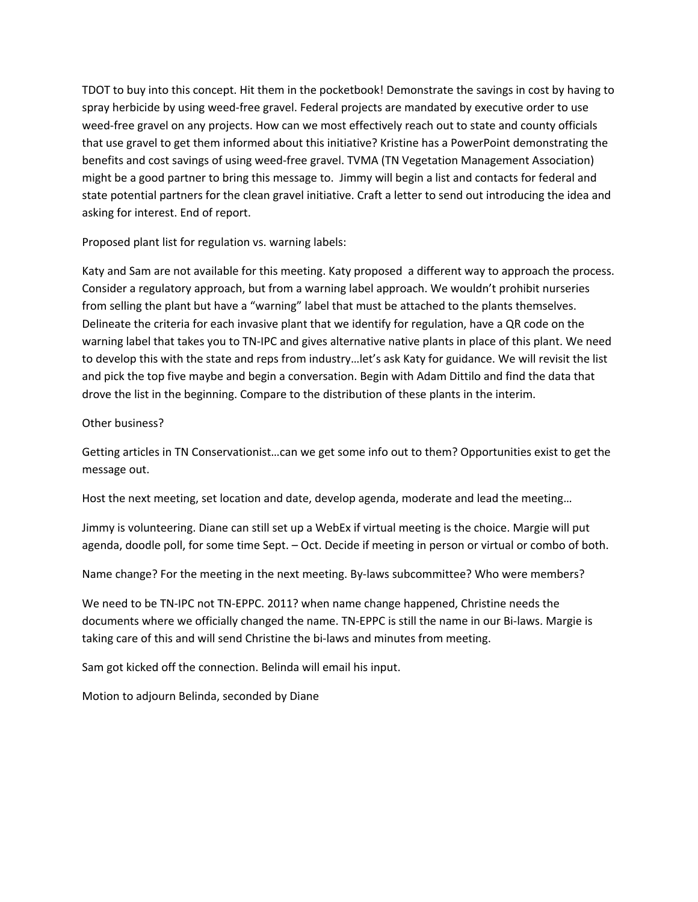TDOT to buy into this concept. Hit them in the pocketbook! Demonstrate the savings in cost by having to spray herbicide by using weed-free gravel. Federal projects are mandated by executive order to use weed-free gravel on any projects. How can we most effectively reach out to state and county officials that use gravel to get them informed about this initiative? Kristine has a PowerPoint demonstrating the benefits and cost savings of using weed-free gravel. TVMA (TN Vegetation Management Association) might be a good partner to bring this message to. Jimmy will begin a list and contacts for federal and state potential partners for the clean gravel initiative. Craft a letter to send out introducing the idea and asking for interest. End of report.

Proposed plant list for regulation vs. warning labels:

Katy and Sam are not available for this meeting. Katy proposed a different way to approach the process. Consider a regulatory approach, but from a warning label approach. We wouldn't prohibit nurseries from selling the plant but have a "warning" label that must be attached to the plants themselves. Delineate the criteria for each invasive plant that we identify for regulation, have a QR code on the warning label that takes you to TN-IPC and gives alternative native plants in place of this plant. We need to develop this with the state and reps from industry…let's ask Katy for guidance. We will revisit the list and pick the top five maybe and begin a conversation. Begin with Adam Dittilo and find the data that drove the list in the beginning. Compare to the distribution of these plants in the interim.

## Other business?

Getting articles in TN Conservationist…can we get some info out to them? Opportunities exist to get the message out.

Host the next meeting, set location and date, develop agenda, moderate and lead the meeting…

Jimmy is volunteering. Diane can still set up a WebEx if virtual meeting is the choice. Margie will put agenda, doodle poll, for some time Sept. – Oct. Decide if meeting in person or virtual or combo of both.

Name change? For the meeting in the next meeting. By-laws subcommittee? Who were members?

We need to be TN-IPC not TN-EPPC. 2011? when name change happened, Christine needs the documents where we officially changed the name. TN-EPPC is still the name in our Bi-laws. Margie is taking care of this and will send Christine the bi-laws and minutes from meeting.

Sam got kicked off the connection. Belinda will email his input.

Motion to adjourn Belinda, seconded by Diane